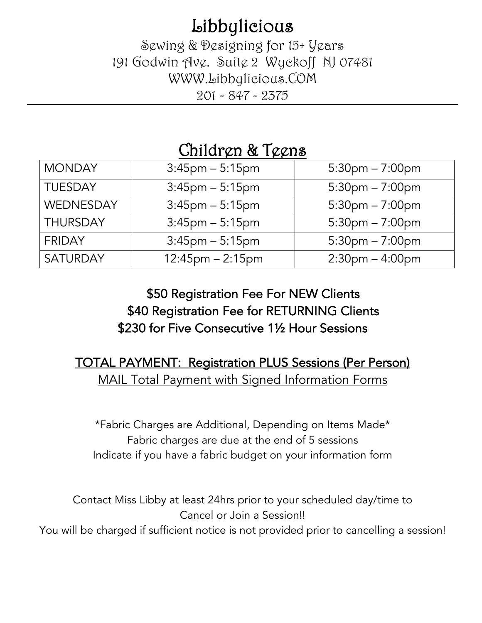**Libbylicious**<br>Sewing & Designing for 15+ Years 191 Godwin Ave. Suite 2 Wyckoff NJ 07481 WWW.Libbylicious.COM 201 - 847 - 2375

# Children & Teens

| <b>MONDAY</b>   | $3:45$ pm $-5:15$ pm   | $5:30$ pm $-7:00$ pm |
|-----------------|------------------------|----------------------|
| <b>TUESDAY</b>  | $3:45$ pm $-5:15$ pm   | $5:30$ pm $-7:00$ pm |
| WEDNESDAY       | $3:45$ pm $-5:15$ pm   | $5:30$ pm $-7:00$ pm |
| <b>THURSDAY</b> | $3:45$ pm $-5:15$ pm   | $5:30$ pm $-7:00$ pm |
| <b>FRIDAY</b>   | $3:45$ pm $-5:15$ pm   | $5:30$ pm $-7:00$ pm |
| <b>SATURDAY</b> | $12:45$ pm $- 2:15$ pm | $2:30$ pm $-4:00$ pm |

# \$50 Registration Fee For NEW Clients \$40 Registration Fee for RETURNING Clients \$230 for Five Consecutive 1½ Hour Sessions

### TOTAL PAYMENT: Registration PLUS Sessions (Per Person) MAIL Total Payment with Signed Information Forms

\*Fabric Charges are Additional, Depending on Items Made\* Fabric charges are due at the end of 5 sessions Indicate if you have a fabric budget on your information form

Contact Miss Libby at least 24hrs prior to your scheduled day/time to Cancel or Join a Session!!

You will be charged if sufficient notice is not provided prior to cancelling a session!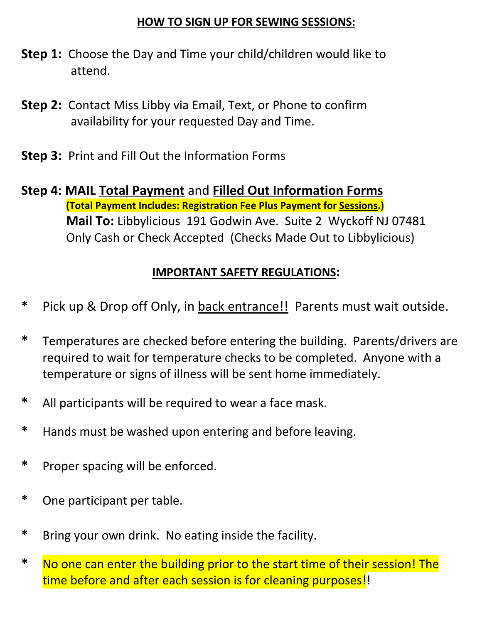#### **HOW TO SIGN UP FOR SEWING SESSIONS:**

- **Step 1:** Choose the Day and Time your child/children would like to attend.
- **Step 2:** Contact Miss Libby via Email, Text, or Phone to confirm availability for your requested Day and Time.
- **Step 3:** Print and Fill Out the Information Forms
- **Step 4: MAIL Total Payment** and **Filled Out Information Forms (Total Payment Includes: Registration Fee Plus Payment for Sessions.) Mail To:** Libbylicious 191 Godwin Ave. Suite 2 Wyckoff NJ 07481 Only Cash or Check Accepted (Checks Made Out to Libbylicious)

#### **IMPORTANT SAFETY REGULATIONS:**

- **\*** Pick up & Drop off Only, in back entrance!! Parents must wait outside.
- **\*** Temperatures are checked before entering the building. Parents/drivers are required to wait for temperature checks to be completed. Anyone with a temperature or signs of illness will be sent home immediately.
- **\*** All participants will be required to wear a face mask.
- **\*** Hands must be washed upon entering and before leaving.
- **\*** Proper spacing will be enforced.
- **\*** One participant per table.
- **\*** Bring your own drink. No eating inside the facility.
- **\*** No one can enter the building prior to the start time of their session! The time before and after each session is for cleaning purposes!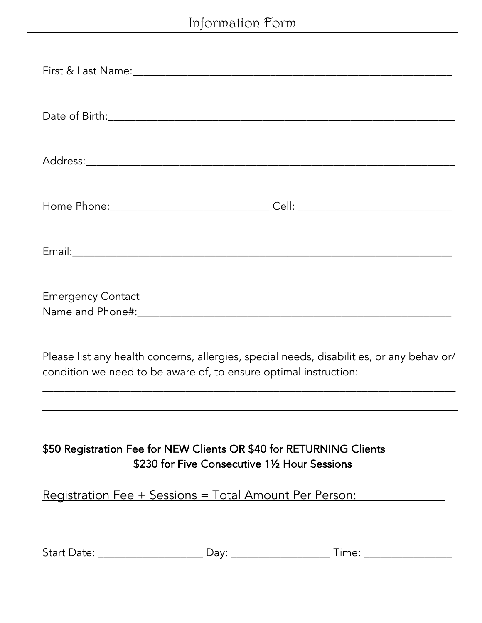|                                                                     |                                               | Home Phone:__________________________________Cell: _____________________________                                                                                                                                               |  |
|---------------------------------------------------------------------|-----------------------------------------------|--------------------------------------------------------------------------------------------------------------------------------------------------------------------------------------------------------------------------------|--|
|                                                                     |                                               | Email: expression of the contract of the contract of the contract of the contract of the contract of the contract of the contract of the contract of the contract of the contract of the contract of the contract of the contr |  |
| <b>Emergency Contact</b>                                            |                                               |                                                                                                                                                                                                                                |  |
| condition we need to be aware of, to ensure optimal instruction:    |                                               | Please list any health concerns, allergies, special needs, disabilities, or any behavior/                                                                                                                                      |  |
|                                                                     |                                               |                                                                                                                                                                                                                                |  |
| \$50 Registration Fee for NEW Clients OR \$40 for RETURNING Clients | \$230 for Five Consecutive 11/2 Hour Sessions |                                                                                                                                                                                                                                |  |
|                                                                     |                                               | <u> Registration Fee + Sessions = Total Amount Per Person:</u>                                                                                                                                                                 |  |
|                                                                     |                                               | Time: _________________                                                                                                                                                                                                        |  |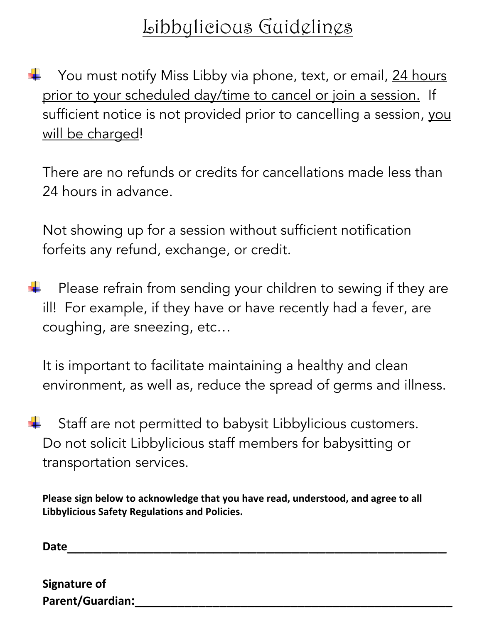# Libbylicious Guidelines

You must notify Miss Libby via phone, text, or email, 24 hours prior to your scheduled day/time to cancel or join a session. If sufficient notice is not provided prior to cancelling a session, you will be charged!

There are no refunds or credits for cancellations made less than 24 hours in advance.

Not showing up for a session without sufficient notification forfeits any refund, exchange, or credit.

 Please refrain from sending your children to sewing if they are ill! For example, if they have or have recently had a fever, are coughing, are sneezing, etc…

It is important to facilitate maintaining a healthy and clean environment, as well as, reduce the spread of germs and illness.

 Staff are not permitted to babysit Libbylicious customers. Do not solicit Libbylicious staff members for babysitting or transportation services.

**Please sign below to acknowledge that you have read, understood, and agree to all Libbylicious Safety Regulations and Policies.**

**Date**\_\_\_\_\_\_\_\_\_\_\_\_\_\_\_\_\_\_\_\_\_\_\_\_\_\_\_\_\_\_\_\_\_\_\_\_\_\_\_\_\_\_\_\_

| <b>Signature of</b>     |  |  |
|-------------------------|--|--|
| <b>Parent/Guardian:</b> |  |  |